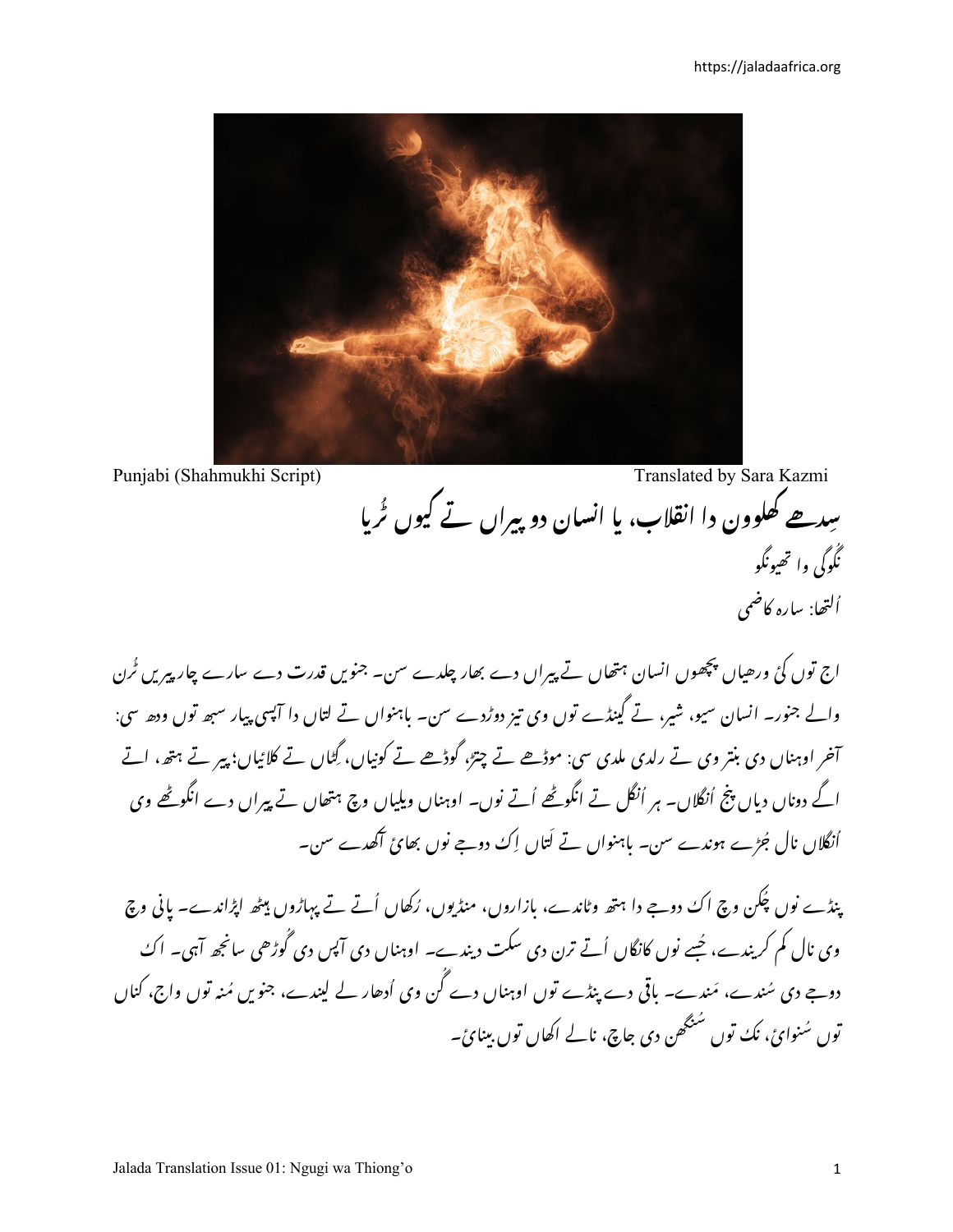

Punjabi (Shahmukhi Script)

Translated by Sara Kazmi

سِدھے کھلوون دا انقلاب، یا انسان دوپیراں تے کیوں ٹرپا نگُوگی وا تھیونگو ألتھا: سارہ کاضمی

اج توں کئ ورھیاں پچھوں انسان ہتھاں تے پیراں دے بھار چلدے سن۔ جنویں قدرت دے سارے چار پیریں ٹُرن والے جنور۔ انسان سیو، شیر، تے گینڈے توں وی تیز دوڑدے سن۔ باہنواں تے لتاں دا آپسی پیار سبھ توں ودھ سی: آخر اوہناں دی بنتر وی تے رلدی ملدی سی: موڈھے تے چتز، گوڈھے تے کونیاں، گِٹاں تے کلائیاں؛ پیر تے ہتھ، اتے اگے دوناں دیاں پنج اُنگلاں۔ ہر اُنگل تے انگوٹھے اُتے نوں۔ اوہناں ویلیاں وچ ہتھاں تے پیراں دے انگوٹھے وی اُنگلاں نال جُڑے ہوندے سن۔ باہنواں تے کتاں اِکُ دوجے نوں بھائ آگھدے سن۔

ینڈے نوں پھُن وچ اک دوجے دا ہتھ وٹاندے، بازاروں، منڈیوں، رُکھاں اُتّے تے پہاڑوں میٹھ اپڑاندے۔ پانی وچ وی نال کم کریندے، جُسے نوں کانگاں اُتے ترن دی سکت دیندے۔ اوہناں دی آپس دی گُوڑھی سانجھ آہی۔ اکُ دوجے دی سُندے، مَندے۔ باقی دے پنڈے توں اوہناں دے گُن وی اُدھار لے لیندے، جنویں مُنہ توں واج، کناں توں سُنوائ، نِکُ توں سُنگھن دی جاچ، نالے اکھاں توں بینائ۔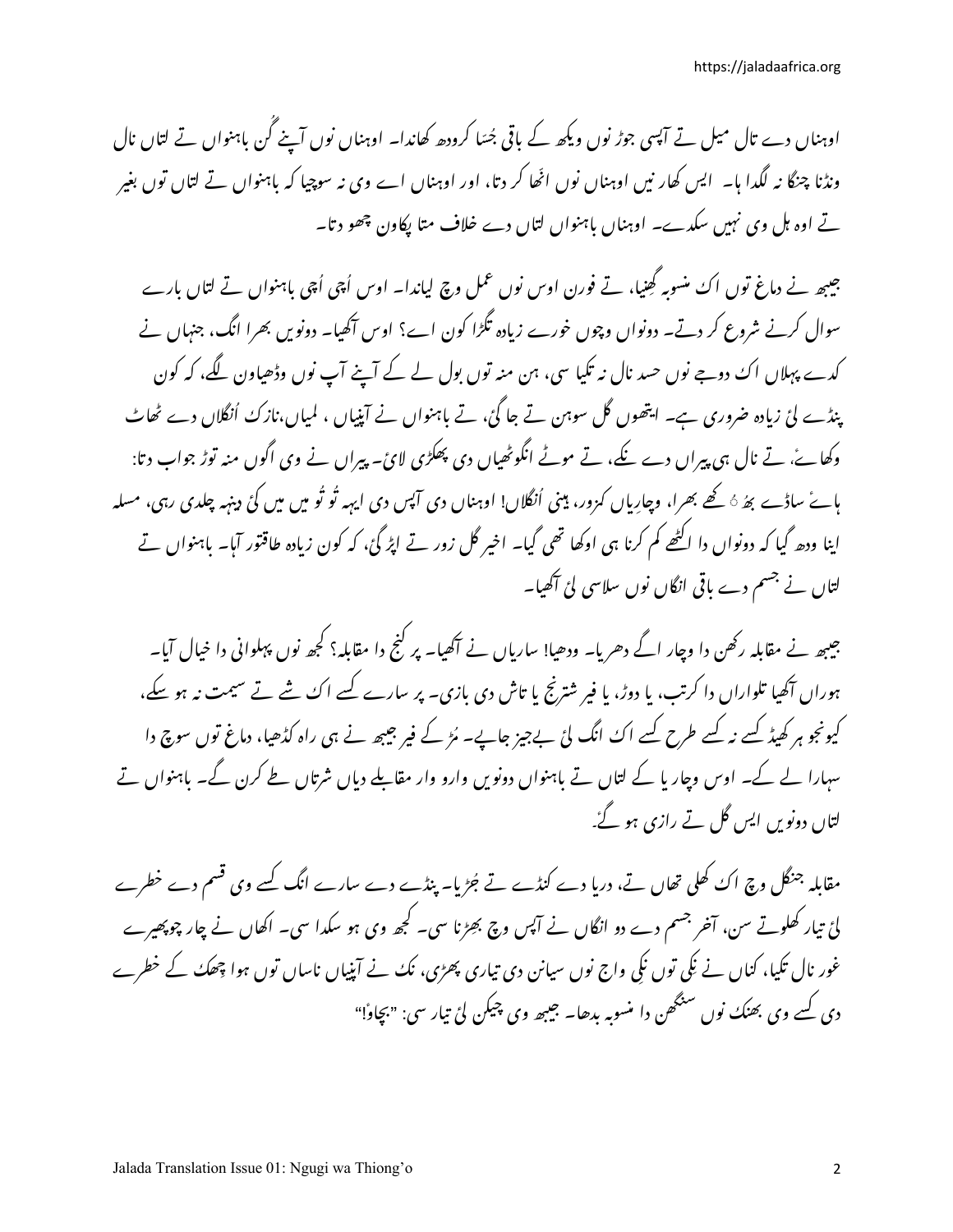اوہناں دے تال میل تے آپسی جوڑ نوں ویکھ کے باقی جُسّا کرودھ کھاندا۔ اوہناں نوں آپنے گن باہنواں تے لتاں نال ونڈنا چنگا نہ لگدا ہا۔ ایس کھار نیں اوہناں نوں اٹھا کر دتا، اور اوہناں اے وی نہ سوچیا کہ باہنواں تے لتاں توں بغیر تے اوہ ہل وی نہیں سکدے۔ اوہناں باہنواں لتاں دے خلاف متا پکاون چھو دتا۔

جیبھ نے دماغ توں اک منسوبہ گھنیا، تے فورن اوس نوں عمل وچ لیاندا۔ اوس اُچی اُچی باہنواں تے لتاں بارے سوال کرنے شروع کر دتے۔ دونواں وچوں خورے زیادہ تگڑا کون اے؟ اوس آگھیا۔ دونویں بھرا انگ، جنہاں نے کدے پہلاں اک دوجے نوں حسد نال نہ تکیا سی، ہن منہ توں بول لے کے آپنے آپ نوں وڈھیاون لگے، کہ کون پنڈے لئ زیادہ ضروری ہے۔ ایتھوں گل سوہن تے جا گئ، تے باہنواں نے آپنیاں ، لمیاں،نازک اُنگلاں دے ٹھاٹ وکھاۓ، تے نال ہی پیراں دے نکے، تے موٹے انگوٹھیاں دی پھگڑی لائ۔ پیراں نے وی اگوں منہ توڑ جواب دتا: ہائے ساڈے بھُ ہُ کھے بھرا، وچارِیاں کمزور، مینی اُنگلاں! اوہناں دی آپس دی ایہہ ٹو ٹو میں میں کئ دینہہ چلدی رہی، مسله اپنا ودھ گیا کہ دونواں دا اکٹھے کم کرنا ہی اوکھا تھی گیا۔ اخیر گل زور تے اپڑ گئ، کہ کون زیادہ طاقتور آبا۔ باہنواں تے لتاں نے جسم دے باقی انگاں نوں سلاسی لئ آگھیا۔

جیبھ نے مقابلہ رکھن دا وچار اگے دھریا۔ ودھیا! ساریاں نے آکھیا۔ پر کنج دا مقابلہ؟ کجھ نوں پہلوانی دا خیال آیا۔ ہوراں آگھیا تلواراں دا کرتب، یا دوڑ، یا فیر شترنج یا تاش دی بازی۔ پر سارے کسے اک شے تے سیمت نہ ہو سکے، کیونجو ہر کھیڈ کسے نہ کسے طرح کسے اک انگ لئ بےجیز جاپے۔ مُڑ کے فیر جیبھ نے ہی راہ کڈھیا، دماغ توں سوچ دا سہارا لے کے۔ اوس وچار یا کے لتاں تے باہنواں دونویں وارو وار مقابلے دیاں شرتاں طے کرن گے۔ باہنواں تے لتاں دونویں ایس گل تے رازی ہو گۓ۔

مقابلہ جنگل وچ اک کھلی تھاں تے، دریا دے کنڈے تے جُڑیا۔ پنڈے دے سارے انگ کسے وی قسم دے خطرے لئ تیار کھلوتے سن، آخر جسم دے دو انگاں نے آپس وچ بھِڑنا سی۔ کجھ وی ہو سکدا سی۔ اکھاں نے چار چوپھیرے غور نال تکیا، کناں نے نکی توں نکی واج نوں سیانن دی تیاری پھڑی، نک نے آپنیاں ناساں توں ہوا چھک کے خطرے دی کسے وی بھنک نوں سنگھن دا منسوبہ بدھا۔ جیبھ وی چیکن لئ تیار سی: "بچاوٗ!"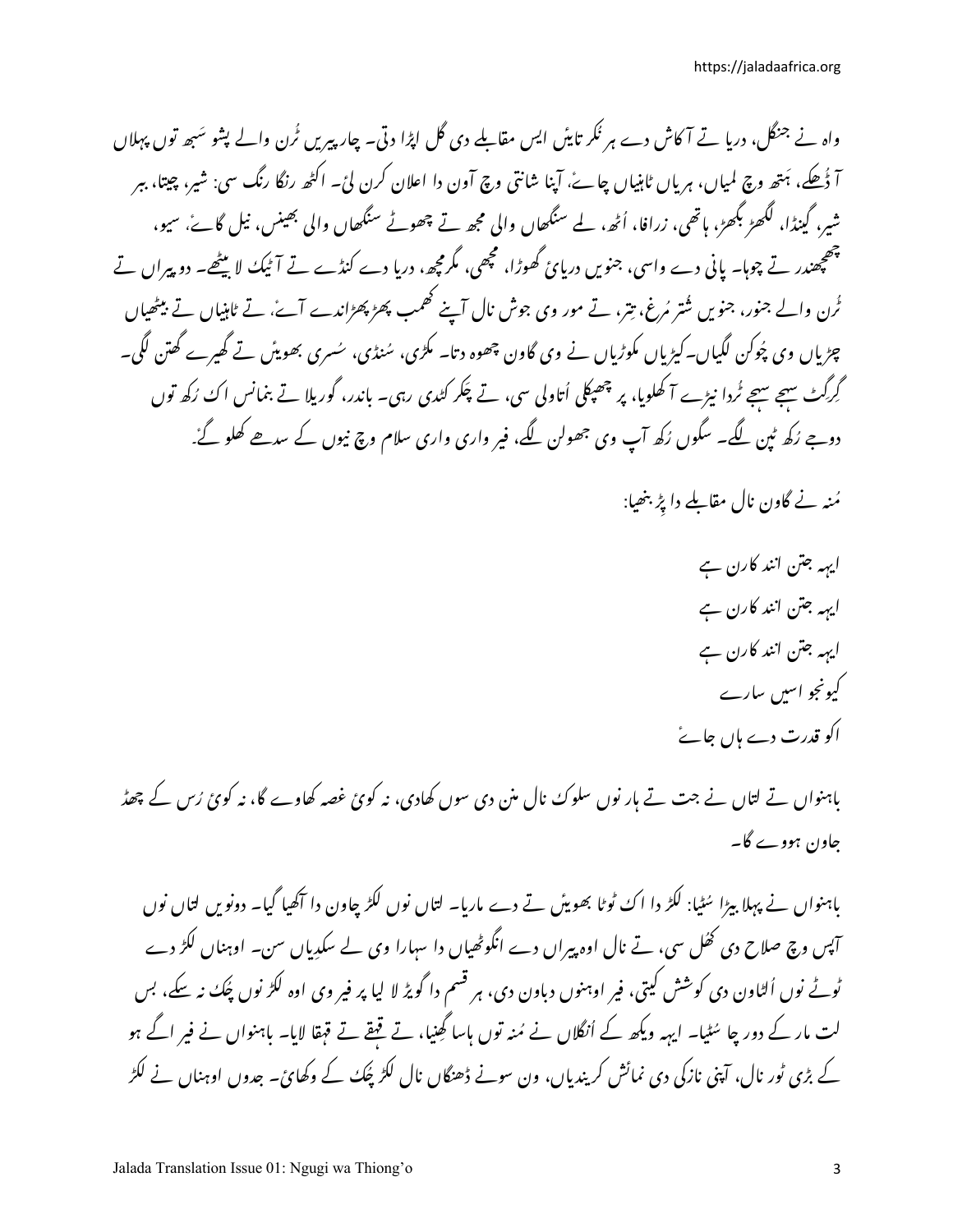واہ نے جنگل، دریا تے آکاش دے ہر نگر تاپٹن ایس مقابلے دی گل اپڑا دتی۔ چارپیریں ٹُرن والے پشو سَبھ توں پہلاں آ ڈُھکے، ہَتھ وچ لمپاں، ہریاں ٹاہنیاں چاۓ، آپنا شانتی وچ آون دا اعلان کرن لئ۔ اکٹھ رنگا رنگ سی: شیر، چیتا، ببر شیر، گینڈا، لگھڑ بگھڑ، ہاتھی، زرافا، اُٹھ، لے سنگھاں والی مجھ تے چھوٹے سنگھاں والی بھینس، نیل گاۓ، سیو، چھپھندر تے چوہا۔ پانی دے واسی، جنویں دریائ گھوڑا، مچھی، مگرمچھ، دریا دے کنڈے تے آٹیک لا بیٹھے۔ دو پیراں تے ئُرن والے جنور، جنویں شُتر مُرغ، تِتر، تے مور وی جوش نال آپنے گھمپ پھڑ پھڑاندے آئے، تے ٹاہنیاں تے بیٹھیاں چڑیاں وی پُوکن لگیاں۔کیڑیاں مکوڑیاں نے وی گاون چھوہ دتا۔ مگڑی، سُنڈی، سُسری بھوپٹن تے گھیرے گھتن لگی۔ گرگٹ سہجے سہجے ٹُردا نیڑے آ کھلویا، پر چھپکلی اُتاولی سی، تے چَکر کٹدی رہی۔ باندر، گوریلا تے بنمانس اکُ رُکھ توں دوجے رُکھ ٹپن لگے۔ سگوں رُکھ آپ وی جھولن لگے، فیر واری واری سلام وچ نیوں کے سدھے کھلو گۓ۔

مُنہ نے گاون نال مقابلے دا پڑ بنھیا:

اپہہ جتن انند کارن ہے ایہہ جتن انند کارن ہے ایہہ جتن انند کارن ہے کیونجو اسیں سارے اکو قدرت دے ہاں جائےً

باہنواں تے لتاں نے جت تے ہار نوں سلوک نال منن دی سوں کھادی، نہ کوئ غصہ کھاوے گا، نہ کوئ رُس کے چھڈ جاون ہووے گا۔

باہنواں نے پہلا بیڑا سُٹیا: لکڑ دا اک ٹوٹا بھوپٹن تے دے ماربا۔ لتاں نوں لکڑ چاون دا آگھیا گیا۔ دونویں لتاں نوں آپس وچ صلاح دی کھُل سی، تے نال اوہ پیراں دے انگوٹھیاں دا سہارا وی لے سکدِیاں سن۔ اوہناں لکڑ دے ٹوٹے نوں اُلٹاون دی کوشش کیتی، فیر اوہنوں دباون دی، ہر قسم دا گویڑ لا لیا پر فیر وی اوہ لکڑ نوں چُک نہ سکے، بس لت مار کے دور چا سُٹیا۔ ایہہ ویکھ کے اُنگلاں نے مُنہ توں ہاسا گھنیا، تے قبقے تے قہقا لایا۔ باہنواں نے فیر اگے ہو کے بڑی ٹور نال، آپنی نازکی دی نمائش کریندیاں، ون سونے ڈھنگاں نال لکڑ پُکٹ کے وکھائ۔ جدوں اوہناں نے لکڑ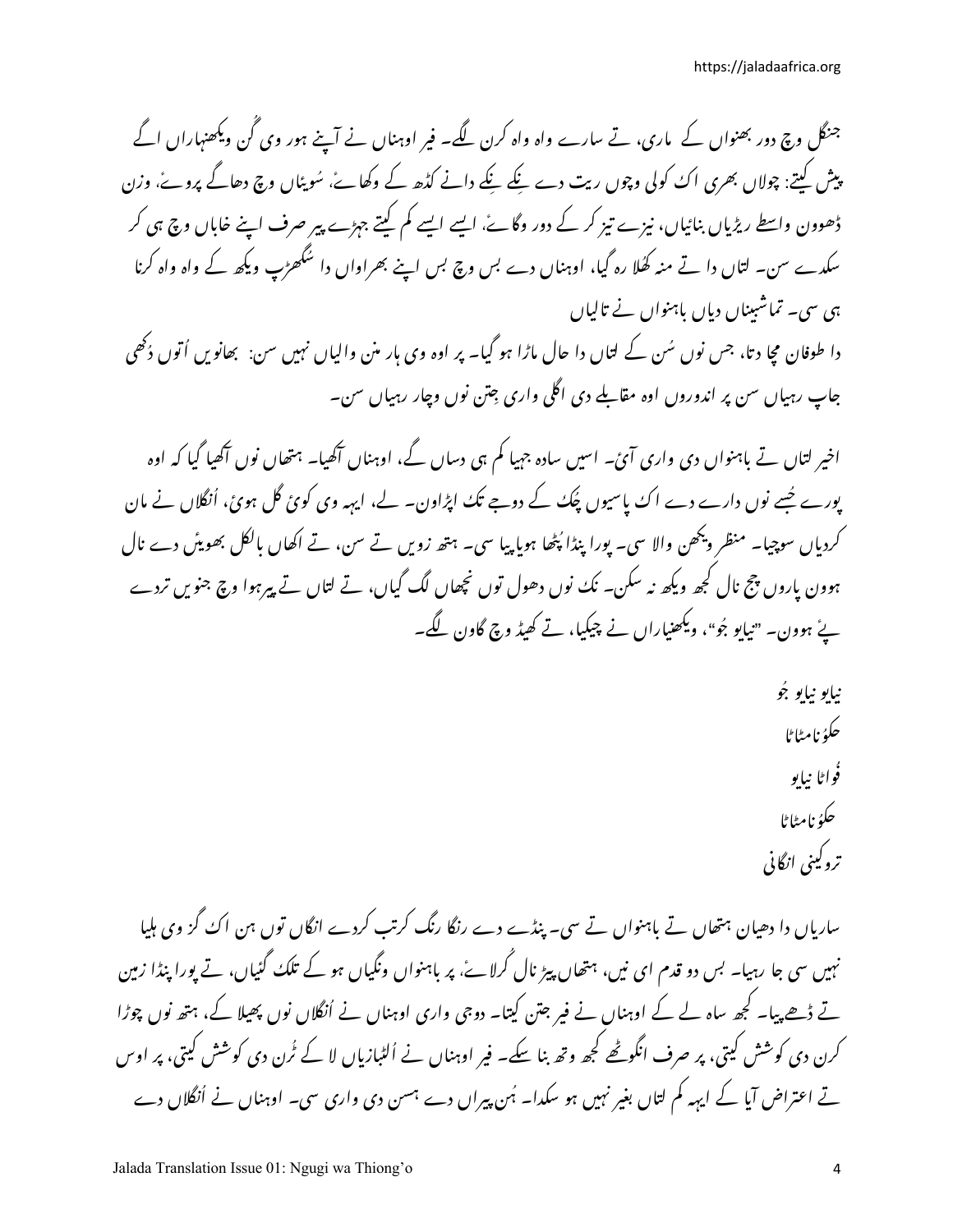جنگل وچ دور بھنواں کے پاری، تے سارے واہ واہ کرن لگے۔ فیر اوہناں نے آپنے ہور وی گُن ویکھنہاراں اگے پیش کہتے: چولاں بھری اک کولی وچوں ریت دے نکے نکے دانے کڈھ کے وکھاۓ، سُویٹاں وچ دھاگے پروۓ، وزن ڈھوون واسطے ریڑیاں بنائیاں، نیزے تیز کر کے دور وگاۓ، ایسے ایسے کم کیتے جہڑے پیر صرف اپنے خاباں وچ ہی کر سکدے سن۔ لتاں دا تے منہ کھُلا رہ گیا، اوہناں دے بس وچ بس اپنے بھراواں دا سُگھڑپ ویکھ کے واہ واہ کرنا ہی سی۔ تماشبیناں دباں باہنواں نے تالیاں دا طوفان مچا دتا، جس نوں سُن کے لتاں دا حال ماڑا ہو گیا۔ پر اوہ وی ہار منن والیاں نہیں سن: بھانویں اُتوں دُکھی جاپ رہیاں سن پر اندوروں اوہ مقابلے دی اگلی واری جِتن نوں وچار رہیاں سن۔

اخیر لتاں تے باہنواں دی واری آئ ۔ اسیں سادہ جہیا کم ہی دساں گے، اوہناں آکھیا۔ ہتھاں نوں آکھیا گیا کہ اوہ پورے جُسے نوں دارے دے اک پاسیوں چُک کے دوجے تک اپڑاون۔ لے، ایہہ وی کوئ گل ہوئ، اُنگلاں نے مان کردیاں سوچیا۔ منظر ویکھن والا سی۔ یورا پنڈا پُٹھا ہویا پیا سی۔ ہتھ زویں تے سن، تے اکھاں بالکل بھویئں دے نال ہوون باروں پچ نال کجھ ویکھ نہ سکن۔ نکُ نوں دھول توں نچھاں لگ گیاں، تے لتاں تے پیرہوا وچ جنویں تردے ئے ہوون۔ "نیایو جُو"، ویکھنیاراں نے چیکیا، تے کھیڈ وچ گاون لگے۔

> نياپو نياپو جُو حكۇ :إمراط فُواڻا نياپو حكۇ :إم<sup>ط</sup>اط تروكيني انگاني

ساریاں دا دھیان ہتھاں تے باہنواں تے سی۔ پنڈے دے رنگا رنگ کرتب کردے انگاں توں ہن اک گز وی ہلیا نہیں سی جا رہیا۔ بس دو قدم ای نیں، ہتھاں پیڑ نال گرلائے، پر باہنواں ونگیاں ہو کے تلک گئیاں، تے پورا پنڈا زمین تے ڈھے پیا۔ کجھ ساہ لے کے اوہناں نے فیر جتن کیتا۔ دوجی واری اوہناں نے اُنگلاں نوں پھیلا کے، ہتھ نوں چوڑا کرن دی کوشش کیتی، پر صرف انگوٹھے کجھ وتھ بنا سکے۔ فیر اوہناں نے اُلٹبازیاں لا کے ٹُرن دی کوشش کیتی، پر اوس تے اعتراض آیا کے ایہہ کم لتاں بغیر نہیں ہو سکدا۔ ہُن پیراں دے ہسن دی واری سی۔ اوہناں نے اُنگلاں دے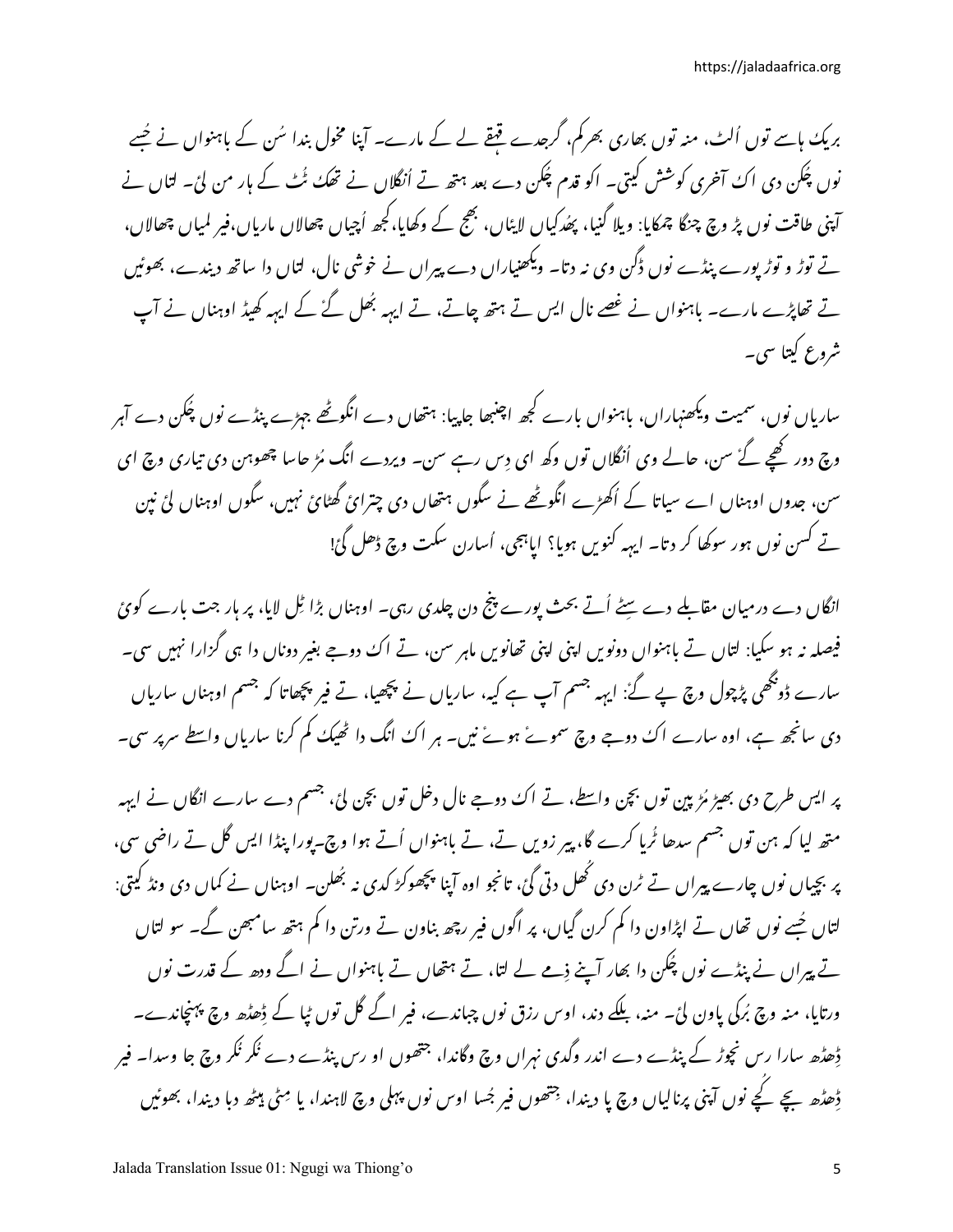بریک ہاسے توں اُلٹ، منہ توں بھاری بھرکم، گرجدے قبقے لے کے مارے۔ آپنا مخول بندا سُن کے باہنواں نے جُسے نوں چُکن دی اکُ آخری کوشش کیتی۔ اکو قدم چُکن دے بعد ہتھ تے اُنگلاں نے تھکُ ٹُٹ کے ہار من لیٔ۔ لتاں نے آپنی طاقت نوں پڑ وچ چنگا چمکایا: ویلا گنیا، پھُدکیاں لاپٹاں، بھج کے وکھایا،کجھ اُچیاں چھالاں ماریاں،فیر لمپاں چھالاں، تے توڑ و توڑیورے پنڈے نوں ڈگن وی نہ دتا۔ ویکھنیاراں دے پیراں نے خوشی نال، لتاں دا ساتھ دیندے، بھوئیں تے تھاپڑے مارے۔ باہنواں نے غصے نال ایس تے ہتھ چاتے، تے ایہہ بھُل گۓ کے ایہہ کھیڈ اوہناں نے آپ شروع کیتا سی۔

سارباں نوں، سمیت ویکھنہاراں، باہنواں بارے کجھ اچنبھا جاپیا: ہتھاں دے انگوٹھے جہڑے پنڈے نوں چُکن دے آہر وچ دور کھیے گۓ سن، حالے وی اُنگلاں توں وکھ ای دِس رہے سن۔ ویردے انگ مُڑ حاسا چھوہن دی تیاری وچ ای سن، جدوں اوہناں اے سیاتا کے اُکھڑے انگوٹھے نے سگوں ہتھاں دی چترائ گھٹائ نہیں، سگوں اوہناں لئ نین تے کسن نوں ہور سوکھا کر دتا۔ ایہہ کنویں ہویا؟ ایاہجی، اُسارن سکت وچ ڈھل گئ!

انگاں دے درمیان مقاملے دے سٹے اُتے بحث پورے پنج دن چلدی رہی۔ اوہناں بڑا ٹِل لایا، پر ہار جت بارے کوئ فیصلہ نہ ہو سکیا: لتاں تے باہنواں دونویں اپنی اپنی تھانویں ماہر سن، تے اک دوجے بغیر دوناں دا ہی گزارا نہیں سی۔ سارے ڈوبھی پڑچول وچ پے گۓ ایہہ جسم آپ ہے کیہ، ساریاں نے پچھیا، تے فیر پچھاتا کہ جسم اوہناں ساریاں دی سانجھ ہے، اوہ سارے اک دوجے وچ سموۓ ہوئے نیں۔ ہر اک انگ دا ٹھیک کم کرنا ساریاں واسطے سرپر سی۔

پر ایس طرح دی بھیڑ مُڑپین توں بچن واسطے، تے اکُ دوجے نال دخل توں بچن لیٔ، جسم دے سارے انگاں نے ایہہ متھ لیا کہ ہن توں جسم سدھا ٹُریا کرے گا، پیر زویں تے، تے باہنواں اُتے ہوا وچ۔پورا پنڈا ایس گل تے راضی سی، پر بچیاں نوں چارے پیراں تے ٹرن دی ٹھل دتی گئ، تانجو اوہ آپنا پچھوکڑ کدی نہ بُھلن۔ اوہناں نے کماں دی ونڈ کیتی: لتاں حُسے نوں تھاں تے اپڑاون دا کم کرن گیاں، پر اگوں فیر رچھ بناون تے ورتن دا کم ہتھ سامبھن گے۔ سو لتاں تے پیراں نے پنڈے نوں پُکُن دا بھار آپنے ذِمے لے لتا، تے ہتھاں تے باہنواں نے اگے ودھ کے قدرت نوں ورتایا، منہ وچ بُرکی یاون لئ۔ منہ، بلکے دند، اوس رزق نوں چباندے، فیر اگے گل توں ٹیا کے ڈھڈھ وچ پہنچاندے۔ ڈھڈھ سارا رس نچوڑ کے پنڈے دے اندر وگدی نہراں وچ وگاندا، جتھوں او رس پنڈے دے نگر نگر وچ جا وسدا۔ فیر ڈِھڈھ بچے کچے نوں آپنی پرنالیاں وچ یا دیندا، جتھوں فیر جُسا اوس نوں پہلی وچ لاہندا، یا مِٹی ہیٹھ دبا دیندا، بھوئیں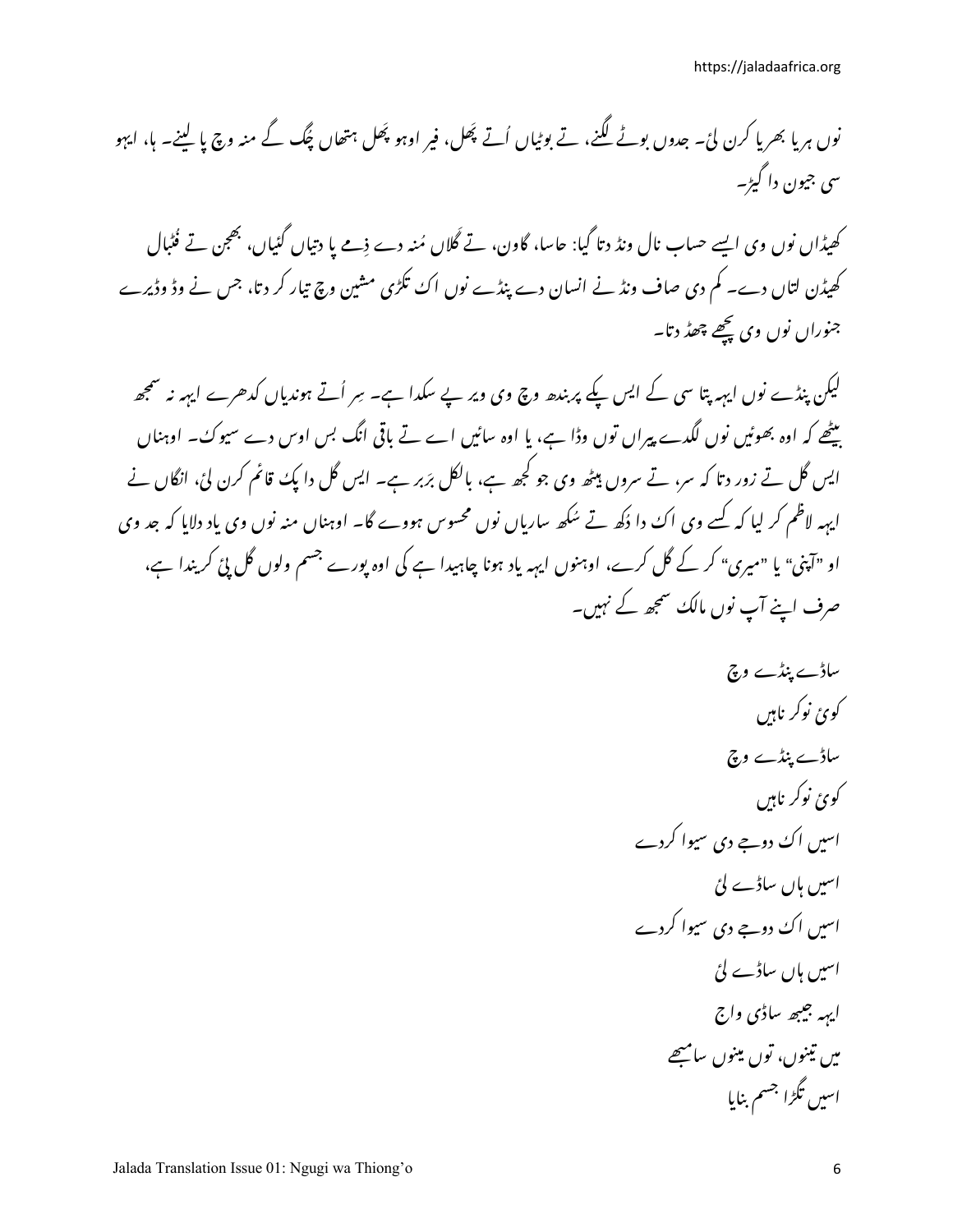کھیڈاں نوں وی ایسے حساب نال ونڈ د تا گیا: جاسا، گاون، تے گلاں مُنہ دے ذمے یا دتیاں گئیاں، بھجن تے فُٹبال کھیڈن لتاں دے۔ کم دی صاف ونڈ نے انسان دے پنڈے نوں اکُ تکڑی مشین وچ تیار کر دتا، جس نے وڈ وڈیرے جنوراں نوں وی پچھے چھڈ دتا۔

لیکن پنڈے نوں ایہہ پتا سی کے ایس یکے پر بندھ وچ وی ویر پے سکدا ہے۔ سِر اُتے ہوندیاں کدھرے ایہہ نہ سمجھ بیٹھے کہ اوہ بھوٹیں نوں لگدے پیراں توں وڈا ہے، یا اوہ سائیں اے تے باقی انگ بس اوس دے سیوک۔ اوہناں ایس گل تے زور دتا کہ سر، تے سروں بیٹھ وی جو کجھ ہے، بالکل برَبر ہے۔ ایس گل دا پکُ قائم کرن لیٗ، انگاں نے ایہہ لاظم کر لیا کہ کسے وی اک دا دُکھ تے سُکھ ساریاں نوں محسوس ہووے گا۔ اوہناں منہ نوں وی یاد دلایا کہ جد وی او "آپنی" یا "میری" کر کے گل کرے، اوہنوں ایہہ یاد ہونا چاہیدا ہے کی اوہ پورے جسم ولوں گل پئ کریندا ہے، صرف اپنے آپ نوں مالک سمجھ کے نہیں۔